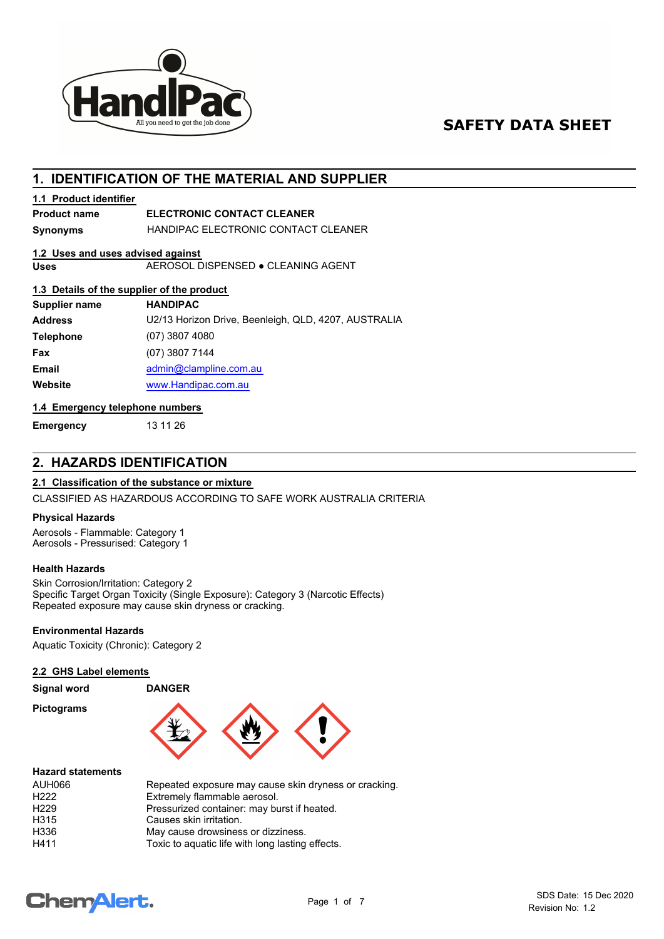

# **SAFETY DATA SHEET**

# **1. IDENTIFICATION OF THE MATERIAL AND SUPPLIER**

## **1.1 Product identifier**

# **Product name ELECTRONIC CONTACT CLEANER**

**Synonyms** HANDIPAC ELECTRONIC CONTACT CLEANER

## **1.2 Uses and uses advised against**

**Uses** AEROSOL DISPENSED ● CLEANING AGENT

# **1.3 Details of the supplier of the product**

| Supplier name    | <b>HANDIPAC</b>                                      |
|------------------|------------------------------------------------------|
| <b>Address</b>   | U2/13 Horizon Drive, Beenleigh, QLD, 4207, AUSTRALIA |
| <b>Telephone</b> | $(07)$ 3807 4080                                     |
| Fax              | (07) 3807 7144                                       |
| <b>Email</b>     | admin@clampline.com.au                               |
| Website          | www.Handipac.com.au                                  |

### **1.4 Emergency telephone numbers**

**Emergency** 13 11 26

# **2. HAZARDS IDENTIFICATION**

## **2.1 Classification of the substance or mixture**

CLASSIFIED AS HAZARDOUS ACCORDING TO SAFE WORK AUSTRALIA CRITERIA

## **Physical Hazards**

Aerosols - Flammable: Category 1 Aerosols - Pressurised: Category 1

### **Health Hazards**

Skin Corrosion/Irritation: Category 2 Specific Target Organ Toxicity (Single Exposure): Category 3 (Narcotic Effects) Repeated exposure may cause skin dryness or cracking.

## **Environmental Hazards**

Aquatic Toxicity (Chronic): Category 2

## **2.2 GHS Label elements**

| <b>Signal word</b>       | <b>DANGER</b> |  |
|--------------------------|---------------|--|
| <b>Pictograms</b>        |               |  |
| <b>Hazard statements</b> |               |  |

| <b>AUH066</b><br>H <sub>222</sub> | Repeated exposure may cause skin dryness or cracking.<br>Extremely flammable aerosol. |
|-----------------------------------|---------------------------------------------------------------------------------------|
| H <sub>229</sub>                  | Pressurized container: may burst if heated.                                           |
| H315                              | Causes skin irritation.                                                               |
| H336                              | May cause drowsiness or dizziness.                                                    |
| H411                              | Toxic to aquatic life with long lasting effects.                                      |

# **ChemAlert.**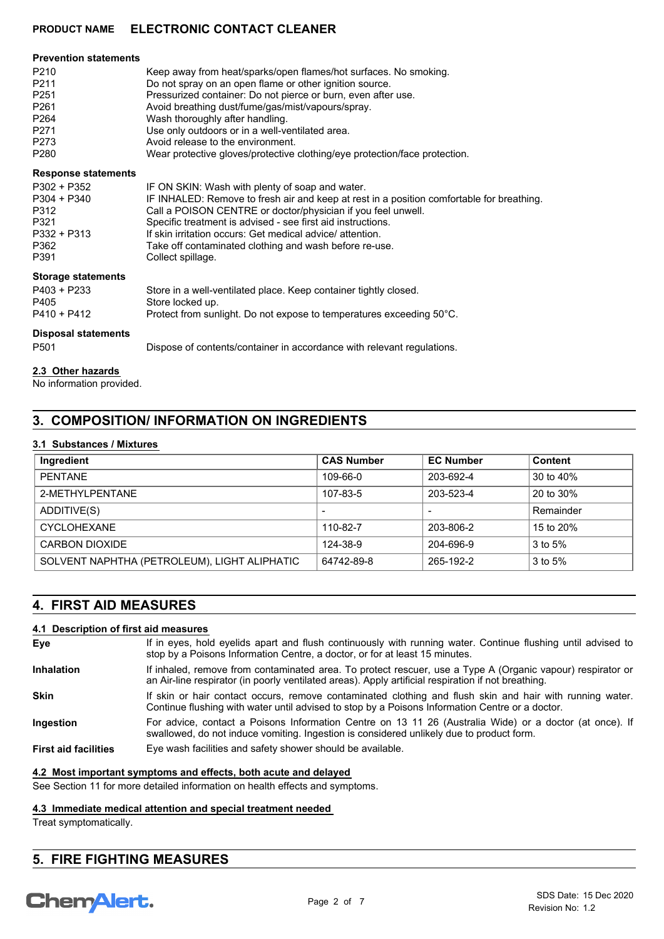#### **Prevention statements**

| P <sub>210</sub> | Keep away from heat/sparks/open flames/hot surfaces. No smoking.           |
|------------------|----------------------------------------------------------------------------|
| P <sub>211</sub> | Do not spray on an open flame or other ignition source.                    |
| P <sub>251</sub> | Pressurized container: Do not pierce or burn, even after use.              |
| P <sub>261</sub> | Avoid breathing dust/fume/gas/mist/vapours/spray.                          |
| P <sub>264</sub> | Wash thoroughly after handling.                                            |
| P <sub>271</sub> | Use only outdoors or in a well-ventilated area.                            |
| P273             | Avoid release to the environment.                                          |
| P <sub>280</sub> | Wear protective gloves/protective clothing/eye protection/face protection. |

#### **Response statements**

| P302 + P352   | IF ON SKIN: Wash with plenty of soap and water.                                           |
|---------------|-------------------------------------------------------------------------------------------|
| $P304 + P340$ | IF INHALED: Remove to fresh air and keep at rest in a position comfortable for breathing. |
| P312          | Call a POISON CENTRE or doctor/physician if you feel unwell.                              |
| P321          | Specific treatment is advised - see first aid instructions.                               |
| $P332 + P313$ | If skin irritation occurs: Get medical advice/ attention.                                 |
| P362          | Take off contaminated clothing and wash before re-use.                                    |
| P391          | Collect spillage.                                                                         |
|               |                                                                                           |

### **Storage statements**

| Dianagal atatamanta |                                                                      |
|---------------------|----------------------------------------------------------------------|
| P410 + P412         | Protect from sunlight. Do not expose to temperatures exceeding 50°C. |
| P405                | Store locked up.                                                     |
| P403 + P233         | Store in a well-ventilated place. Keep container tightly closed.     |
|                     |                                                                      |

#### **Disposal statements**

P501 Dispose of contents/container in accordance with relevant regulations.

#### **2.3 Other hazards**

No information provided.

# **3. COMPOSITION/ INFORMATION ON INGREDIENTS**

#### **3.1 Substances / Mixtures**

| Ingredient                                   | <b>CAS Number</b> | <b>EC Number</b> | <b>Content</b> |
|----------------------------------------------|-------------------|------------------|----------------|
| <b>PFNTANF</b>                               | 109-66-0          | 203-692-4        | 30 to 40%      |
| 2-MFTHYLPFNTANF                              | 107-83-5          | 203-523-4        | 20 to 30%      |
| ADDITIVE(S)                                  |                   |                  | Remainder      |
| CYCLOHEXANE                                  | 110-82-7          | 203-806-2        | 15 to 20%      |
| CARBON DIOXIDE                               | 124-38-9          | 204-696-9        | 3 to 5%        |
| SOLVENT NAPHTHA (PETROLEUM), LIGHT ALIPHATIC | 64742-89-8        | 265-192-2        | $3$ to $5%$    |

# **4. FIRST AID MEASURES**

#### **4.1 Description of first aid measures**

| Eve                         | If in eyes, hold eyelids apart and flush continuously with running water. Continue flushing until advised to<br>stop by a Poisons Information Centre, a doctor, or for at least 15 minutes.                       |
|-----------------------------|-------------------------------------------------------------------------------------------------------------------------------------------------------------------------------------------------------------------|
| <b>Inhalation</b>           | If inhaled, remove from contaminated area. To protect rescuer, use a Type A (Organic vapour) respirator or<br>an Air-line respirator (in poorly ventilated areas). Apply artificial respiration if not breathing. |
| <b>Skin</b>                 | If skin or hair contact occurs, remove contaminated clothing and flush skin and hair with running water.<br>Continue flushing with water until advised to stop by a Poisons Information Centre or a doctor.       |
| Ingestion                   | For advice, contact a Poisons Information Centre on 13 11 26 (Australia Wide) or a doctor (at once). If<br>swallowed, do not induce vomiting. Ingestion is considered unlikely due to product form.               |
| <b>First aid facilities</b> | Eye wash facilities and safety shower should be available.                                                                                                                                                        |

#### **4.2 Most important symptoms and effects, both acute and delayed**

See Section 11 for more detailed information on health effects and symptoms.

## **4.3 Immediate medical attention and special treatment needed**

Treat symptomatically.

# **5. FIRE FIGHTING MEASURES**

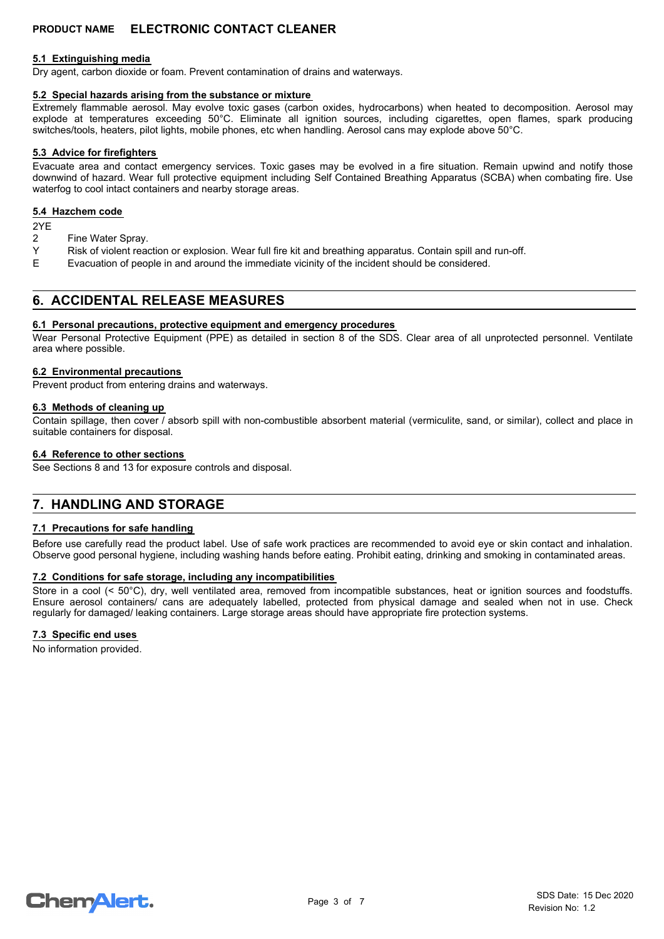#### **5.1 Extinguishing media**

Dry agent, carbon dioxide or foam. Prevent contamination of drains and waterways.

### **5.2 Special hazards arising from the substance or mixture**

Extremely flammable aerosol. May evolve toxic gases (carbon oxides, hydrocarbons) when heated to decomposition. Aerosol may explode at temperatures exceeding 50°C. Eliminate all ignition sources, including cigarettes, open flames, spark producing switches/tools, heaters, pilot lights, mobile phones, etc when handling. Aerosol cans may explode above 50°C.

#### **5.3 Advice for firefighters**

Evacuate area and contact emergency services. Toxic gases may be evolved in a fire situation. Remain upwind and notify those downwind of hazard. Wear full protective equipment including Self Contained Breathing Apparatus (SCBA) when combating fire. Use waterfog to cool intact containers and nearby storage areas.

#### **5.4 Hazchem code**

2YE<br>2

- Fine Water Spray.
- Y Risk of violent reaction or explosion. Wear full fire kit and breathing apparatus. Contain spill and run-off.
- E Evacuation of people in and around the immediate vicinity of the incident should be considered.

# **6. ACCIDENTAL RELEASE MEASURES**

#### **6.1 Personal precautions, protective equipment and emergency procedures**

Wear Personal Protective Equipment (PPE) as detailed in section 8 of the SDS. Clear area of all unprotected personnel. Ventilate area where possible.

#### **6.2 Environmental precautions**

Prevent product from entering drains and waterways.

#### **6.3 Methods of cleaning up**

Contain spillage, then cover / absorb spill with non-combustible absorbent material (vermiculite, sand, or similar), collect and place in suitable containers for disposal.

#### **6.4 Reference to other sections**

See Sections 8 and 13 for exposure controls and disposal.

# **7. HANDLING AND STORAGE**

### **7.1 Precautions for safe handling**

Before use carefully read the product label. Use of safe work practices are recommended to avoid eye or skin contact and inhalation. Observe good personal hygiene, including washing hands before eating. Prohibit eating, drinking and smoking in contaminated areas.

#### **7.2 Conditions for safe storage, including any incompatibilities**

Store in a cool (< 50°C), dry, well ventilated area, removed from incompatible substances, heat or ignition sources and foodstuffs. Ensure aerosol containers/ cans are adequately labelled, protected from physical damage and sealed when not in use. Check regularly for damaged/ leaking containers. Large storage areas should have appropriate fire protection systems.

#### **7.3 Specific end uses**

No information provided.

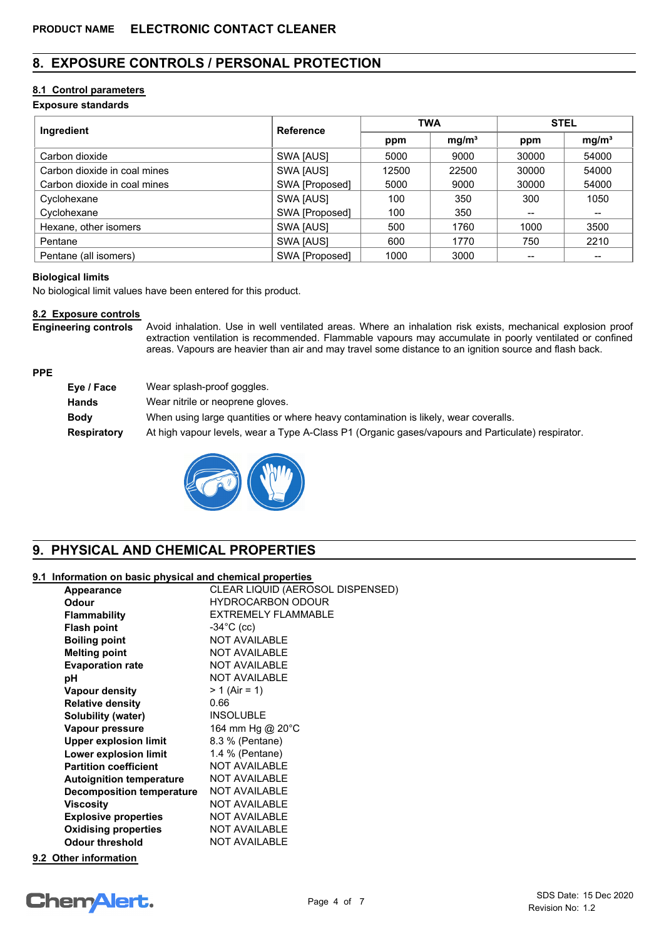# **8. EXPOSURE CONTROLS / PERSONAL PROTECTION**

# **8.1 Control parameters**

## **Exposure standards**

| Ingredient                   | <b>Reference</b> | <b>TWA</b> |                   | <b>STEL</b> |                   |
|------------------------------|------------------|------------|-------------------|-------------|-------------------|
|                              |                  | ppm        | mg/m <sup>3</sup> | ppm         | mg/m <sup>3</sup> |
| Carbon dioxide               | SWA [AUS]        | 5000       | 9000              | 30000       | 54000             |
| Carbon dioxide in coal mines | SWA [AUS]        | 12500      | 22500             | 30000       | 54000             |
| Carbon dioxide in coal mines | SWA [Proposed]   | 5000       | 9000              | 30000       | 54000             |
| Cyclohexane                  | SWA [AUS]        | 100        | 350               | 300         | 1050              |
| Cyclohexane                  | SWA [Proposed]   | 100        | 350               |             | $- -$             |
| Hexane, other isomers        | SWA [AUS]        | 500        | 1760              | 1000        | 3500              |
| Pentane                      | SWA [AUS]        | 600        | 1770              | 750         | 2210              |
| Pentane (all isomers)        | SWA [Proposed]   | 1000       | 3000              |             |                   |

### **Biological limits**

**PPE**

No biological limit values have been entered for this product.

# **8.2 Exposure controls**

Avoid inhalation. Use in well ventilated areas. Where an inhalation risk exists, mechanical explosion proof extraction ventilation is recommended. Flammable vapours may accumulate in poorly ventilated or confined areas. Vapours are heavier than air and may travel some distance to an ignition source and flash back. **Engineering controls**

| Eye / Face         | Wear splash-proof goggles.                                                                        |
|--------------------|---------------------------------------------------------------------------------------------------|
| <b>Hands</b>       | Wear nitrile or neoprene gloves.                                                                  |
| <b>Body</b>        | When using large quantities or where heavy contamination is likely, wear coveralls.               |
| <b>Respiratory</b> | At high vapour levels, wear a Type A-Class P1 (Organic gases/vapours and Particulate) respirator. |



# **9. PHYSICAL AND CHEMICAL PROPERTIES**

## **9.1 Information on basic physical and chemical properties**

| Appearance                      | CLEAR LIQUID (AEROSOL DISPENSED) |
|---------------------------------|----------------------------------|
| <b>Odour</b>                    | <b>HYDROCARBON ODOUR</b>         |
| <b>Flammability</b>             | EXTREMELY FLAMMABLE              |
| <b>Flash point</b>              | $-34^{\circ}$ C (cc)             |
| <b>Boiling point</b>            | <b>NOT AVAILABLE</b>             |
| <b>Melting point</b>            | <b>NOT AVAILABLE</b>             |
| <b>Evaporation rate</b>         | <b>NOT AVAILABLE</b>             |
| рH                              | <b>NOT AVAILABLE</b>             |
| <b>Vapour density</b>           | $> 1$ (Air = 1)                  |
| <b>Relative density</b>         | 0.66                             |
| <b>Solubility (water)</b>       | <b>INSOLUBLE</b>                 |
| Vapour pressure                 | 164 mm Hg @ 20°C                 |
| <b>Upper explosion limit</b>    | 8.3 % (Pentane)                  |
| Lower explosion limit           | 1.4 % (Pentane)                  |
| <b>Partition coefficient</b>    | <b>NOT AVAILABLE</b>             |
| <b>Autoignition temperature</b> | <b>NOT AVAILABLE</b>             |
| Decomposition temperature       | <b>NOT AVAILABLE</b>             |
| Viscosity                       | <b>NOT AVAILABLE</b>             |
| <b>Explosive properties</b>     | <b>NOT AVAILABLE</b>             |
| <b>Oxidising properties</b>     | <b>NOT AVAILABLE</b>             |
| <b>Odour threshold</b>          | <b>NOT AVAILABLE</b>             |
|                                 |                                  |

# **9.2 Other information**

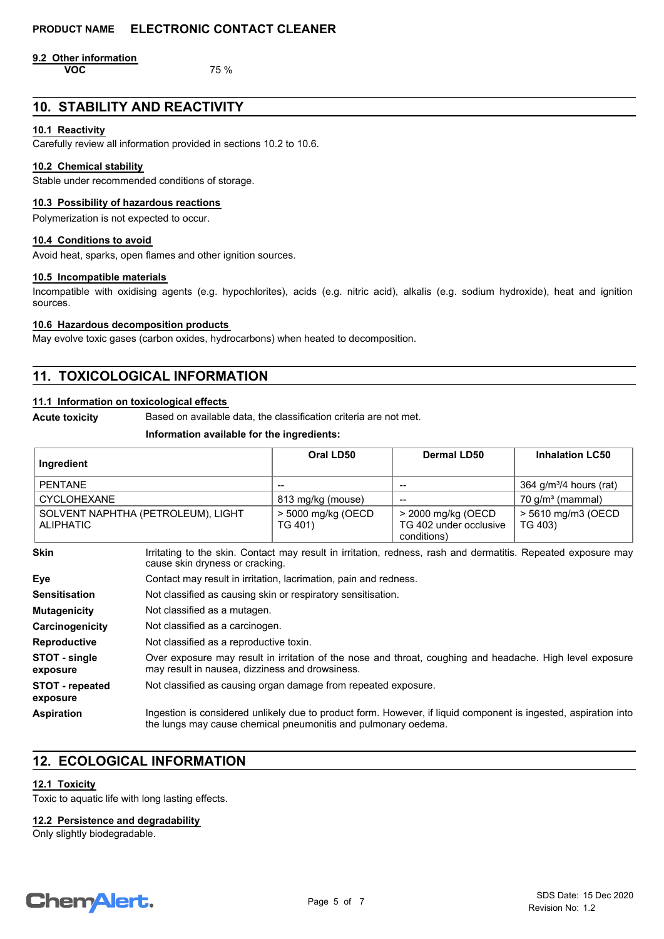**9.2 Other information VOC** 75 %

# **10. STABILITY AND REACTIVITY**

#### **10.1 Reactivity**

Carefully review all information provided in sections 10.2 to 10.6.

## **10.2 Chemical stability**

Stable under recommended conditions of storage.

#### **10.3 Possibility of hazardous reactions**

Polymerization is not expected to occur.

#### **10.4 Conditions to avoid**

Avoid heat, sparks, open flames and other ignition sources.

#### **10.5 Incompatible materials**

Incompatible with oxidising agents (e.g. hypochlorites), acids (e.g. nitric acid), alkalis (e.g. sodium hydroxide), heat and ignition sources.

#### **10.6 Hazardous decomposition products**

May evolve toxic gases (carbon oxides, hydrocarbons) when heated to decomposition.

# **11. TOXICOLOGICAL INFORMATION**

## **11.1 Information on toxicological effects**

**Acute toxicity** Based on available data, the classification criteria are not met.

#### **Information available for the ingredients:**

| Ingredient                                             |                                                                                                                                                                                   | Oral LD50                     | <b>Dermal LD50</b>                                          | <b>Inhalation LC50</b>         |
|--------------------------------------------------------|-----------------------------------------------------------------------------------------------------------------------------------------------------------------------------------|-------------------------------|-------------------------------------------------------------|--------------------------------|
| <b>PENTANE</b>                                         |                                                                                                                                                                                   |                               |                                                             | 364 $g/m^3/4$ hours (rat)      |
| <b>CYCLOHEXANE</b>                                     |                                                                                                                                                                                   | 813 mg/kg (mouse)             | $\overline{\phantom{a}}$                                    | $70$ g/m <sup>3</sup> (mammal) |
| SOLVENT NAPHTHA (PETROLEUM), LIGHT<br><b>ALIPHATIC</b> |                                                                                                                                                                                   | > 5000 mg/kg (OECD<br>TG 401) | > 2000 mg/kg (OECD<br>TG 402 under occlusive<br>conditions) | > 5610 mg/m3 (OECD<br>TG 403)  |
| <b>Skin</b>                                            | Irritating to the skin. Contact may result in irritation, redness, rash and dermatitis. Repeated exposure may<br>cause skin dryness or cracking.                                  |                               |                                                             |                                |
| Eye                                                    | Contact may result in irritation, lacrimation, pain and redness.                                                                                                                  |                               |                                                             |                                |
| <b>Sensitisation</b>                                   | Not classified as causing skin or respiratory sensitisation.                                                                                                                      |                               |                                                             |                                |
| <b>Mutagenicity</b>                                    | Not classified as a mutagen.                                                                                                                                                      |                               |                                                             |                                |
| Carcinogenicity                                        | Not classified as a carcinogen.                                                                                                                                                   |                               |                                                             |                                |
| <b>Reproductive</b>                                    | Not classified as a reproductive toxin.                                                                                                                                           |                               |                                                             |                                |
| STOT - single<br>exposure                              | Over exposure may result in irritation of the nose and throat, coughing and headache. High level exposure<br>may result in nausea, dizziness and drowsiness.                      |                               |                                                             |                                |
| <b>STOT</b> - repeated<br>exposure                     | Not classified as causing organ damage from repeated exposure.                                                                                                                    |                               |                                                             |                                |
| <b>Aspiration</b>                                      | Ingestion is considered unlikely due to product form. However, if liquid component is ingested, aspiration into<br>the lungs may cause chemical pneumonitis and pulmonary oedema. |                               |                                                             |                                |

# **12. ECOLOGICAL INFORMATION**

### **12.1 Toxicity**

Toxic to aquatic life with long lasting effects.

#### **12.2 Persistence and degradability**

Only slightly biodegradable.

# **ChemAlert.**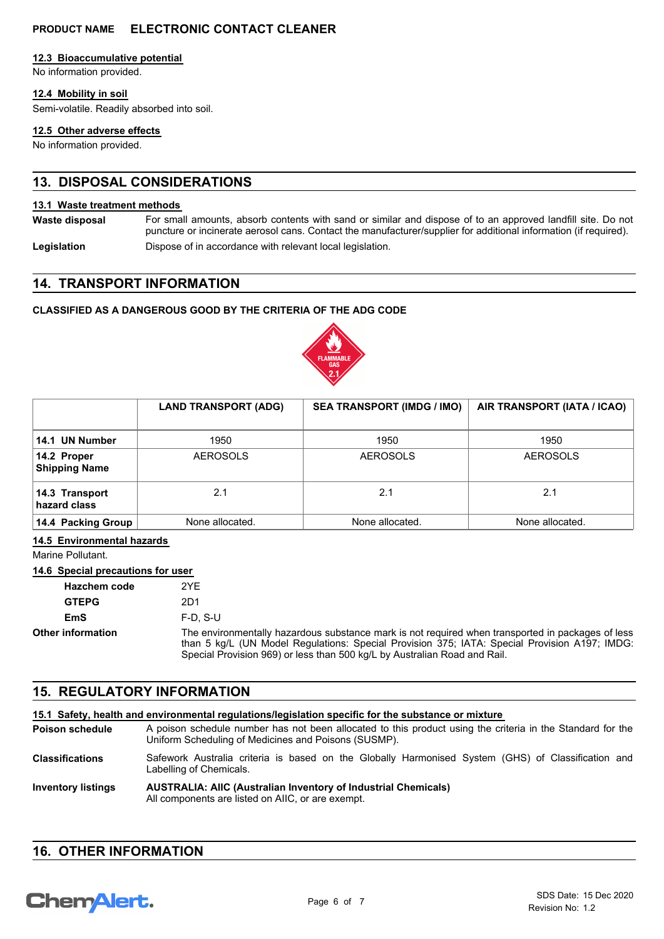#### **12.3 Bioaccumulative potential**

No information provided.

## **12.4 Mobility in soil**

Semi-volatile. Readily absorbed into soil.

#### **12.5 Other adverse effects**

No information provided.

# **13. DISPOSAL CONSIDERATIONS**

#### **13.1 Waste treatment methods**

For small amounts, absorb contents with sand or similar and dispose of to an approved landfill site. Do not puncture or incinerate aerosol cans. Contact the manufacturer/supplier for additional information (if required). **Waste disposal**

**Legislation** Dispose of in accordance with relevant local legislation.

# **14. TRANSPORT INFORMATION**

## **CLASSIFIED AS A DANGEROUS GOOD BY THE CRITERIA OF THE ADG CODE**



|                                     | <b>LAND TRANSPORT (ADG)</b> | <b>SEA TRANSPORT (IMDG / IMO)</b> | AIR TRANSPORT (IATA / ICAO) |
|-------------------------------------|-----------------------------|-----------------------------------|-----------------------------|
| 14.1 UN Number                      | 1950                        | 1950                              | 1950                        |
| 14.2 Proper<br><b>Shipping Name</b> | <b>AEROSOLS</b>             | <b>AEROSOLS</b>                   | <b>AEROSOLS</b>             |
| 14.3 Transport<br>hazard class      | 2.1                         | 2.1                               | 2.1                         |
| 14.4 Packing Group                  | None allocated.             | None allocated.                   | None allocated.             |

#### **14.5 Environmental hazards**

Marine Pollutant.

## **14.6 Special precautions for user**

| <b>Hazchem code</b>      | 2YF                                                                                                                                                                                                                                                                             |
|--------------------------|---------------------------------------------------------------------------------------------------------------------------------------------------------------------------------------------------------------------------------------------------------------------------------|
| <b>GTEPG</b>             | 2D1                                                                                                                                                                                                                                                                             |
| EmS                      | $F-D. S-U$                                                                                                                                                                                                                                                                      |
| <b>Other information</b> | The environmentally hazardous substance mark is not required when transported in packages of less<br>than 5 kg/L (UN Model Regulations: Special Provision 375; IATA: Special Provision A197; IMDG:<br>Special Provision 969) or less than 500 kg/L by Australian Road and Rail. |

# **15. REGULATORY INFORMATION**

#### **15.1 Safety, health and environmental regulations/legislation specific for the substance or mixture**

A poison schedule number has not been allocated to this product using the criteria in the Standard for the Uniform Scheduling of Medicines and Poisons (SUSMP). **Poison schedule**

Safework Australia criteria is based on the Globally Harmonised System (GHS) of Classification and Labelling of Chemicals. **Classifications**

#### **AUSTRALIA: AIIC (Australian Inventory of Industrial Chemicals)** All components are listed on AIIC, or are exempt. **Inventory listings**

# **16. OTHER INFORMATION**

# **ChemAlert.**